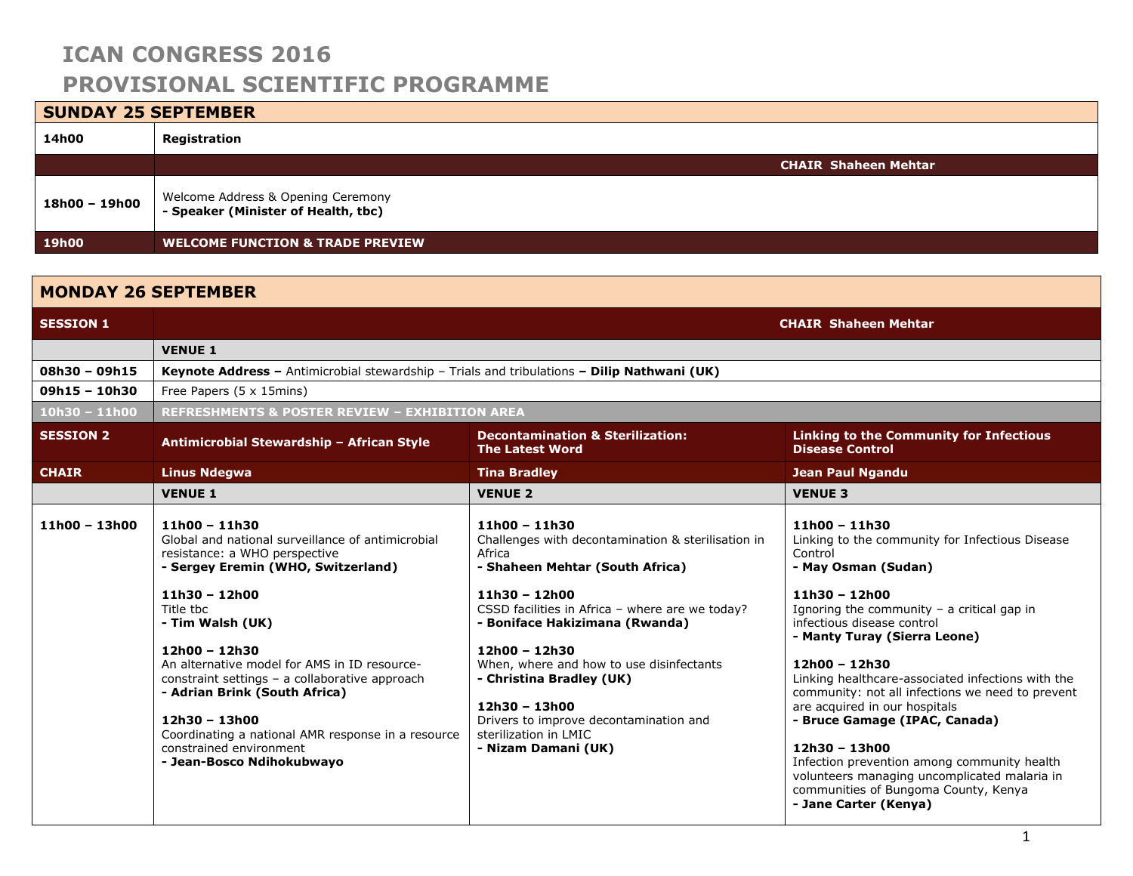# **SUNDAY 25 SEPTEMBER 14h00 Registration CHAIR Shaheen Mehtar 18h00 – 19h00** Welcome Address & Opening Ceremony **- Speaker (Minister of Health, tbc) 19h00 WELCOME FUNCTION & TRADE PREVIEW**

| <b>MONDAY 26 SEPTEMBER</b> |                                                                                                                                                                                                                                                                                                                                                                                                                                                                                        |                                                                                                                                                                                                                                                                                                                                                                                                                                    |                                                                                                                                                                                                                                                                                                                                                                                                                                                                                                                                                                                                                        |  |
|----------------------------|----------------------------------------------------------------------------------------------------------------------------------------------------------------------------------------------------------------------------------------------------------------------------------------------------------------------------------------------------------------------------------------------------------------------------------------------------------------------------------------|------------------------------------------------------------------------------------------------------------------------------------------------------------------------------------------------------------------------------------------------------------------------------------------------------------------------------------------------------------------------------------------------------------------------------------|------------------------------------------------------------------------------------------------------------------------------------------------------------------------------------------------------------------------------------------------------------------------------------------------------------------------------------------------------------------------------------------------------------------------------------------------------------------------------------------------------------------------------------------------------------------------------------------------------------------------|--|
| <b>SESSION 1</b>           | <b>CHAIR Shaheen Mehtar</b>                                                                                                                                                                                                                                                                                                                                                                                                                                                            |                                                                                                                                                                                                                                                                                                                                                                                                                                    |                                                                                                                                                                                                                                                                                                                                                                                                                                                                                                                                                                                                                        |  |
|                            | <b>VENUE 1</b>                                                                                                                                                                                                                                                                                                                                                                                                                                                                         |                                                                                                                                                                                                                                                                                                                                                                                                                                    |                                                                                                                                                                                                                                                                                                                                                                                                                                                                                                                                                                                                                        |  |
| $08h30 - 09h15$            |                                                                                                                                                                                                                                                                                                                                                                                                                                                                                        | Keynote Address - Antimicrobial stewardship - Trials and tribulations - Dilip Nathwani (UK)                                                                                                                                                                                                                                                                                                                                        |                                                                                                                                                                                                                                                                                                                                                                                                                                                                                                                                                                                                                        |  |
| $09h15 - 10h30$            | Free Papers (5 x 15mins)                                                                                                                                                                                                                                                                                                                                                                                                                                                               |                                                                                                                                                                                                                                                                                                                                                                                                                                    |                                                                                                                                                                                                                                                                                                                                                                                                                                                                                                                                                                                                                        |  |
| $10h30 - 11h00$            | <b>REFRESHMENTS &amp; POSTER REVIEW - EXHIBITION AREA</b>                                                                                                                                                                                                                                                                                                                                                                                                                              |                                                                                                                                                                                                                                                                                                                                                                                                                                    |                                                                                                                                                                                                                                                                                                                                                                                                                                                                                                                                                                                                                        |  |
| <b>SESSION 2</b>           | Antimicrobial Stewardship - African Style                                                                                                                                                                                                                                                                                                                                                                                                                                              | <b>Decontamination &amp; Sterilization:</b><br><b>The Latest Word</b>                                                                                                                                                                                                                                                                                                                                                              | <b>Linking to the Community for Infectious</b><br><b>Disease Control</b>                                                                                                                                                                                                                                                                                                                                                                                                                                                                                                                                               |  |
| <b>CHAIR</b>               | <b>Linus Ndegwa</b>                                                                                                                                                                                                                                                                                                                                                                                                                                                                    | <b>Tina Bradley</b>                                                                                                                                                                                                                                                                                                                                                                                                                | <b>Jean Paul Ngandu</b>                                                                                                                                                                                                                                                                                                                                                                                                                                                                                                                                                                                                |  |
|                            | <b>VENUE 1</b>                                                                                                                                                                                                                                                                                                                                                                                                                                                                         | <b>VENUE 2</b>                                                                                                                                                                                                                                                                                                                                                                                                                     | <b>VENUE 3</b>                                                                                                                                                                                                                                                                                                                                                                                                                                                                                                                                                                                                         |  |
| $11h00 - 13h00$            | $11h00 - 11h30$<br>Global and national surveillance of antimicrobial<br>resistance: a WHO perspective<br>- Sergey Eremin (WHO, Switzerland)<br>$11h30 - 12h00$<br>Title the<br>- Tim Walsh (UK)<br>$12h00 - 12h30$<br>An alternative model for AMS in ID resource-<br>constraint settings - a collaborative approach<br>- Adrian Brink (South Africa)<br>$12h30 - 13h00$<br>Coordinating a national AMR response in a resource<br>constrained environment<br>- Jean-Bosco Ndihokubwavo | $11h00 - 11h30$<br>Challenges with decontamination & sterilisation in<br>Africa<br>- Shaheen Mehtar (South Africa)<br>$11h30 - 12h00$<br>CSSD facilities in Africa - where are we today?<br>- Boniface Hakizimana (Rwanda)<br>$12h00 - 12h30$<br>When, where and how to use disinfectants<br>- Christina Bradley (UK)<br>$12h30 - 13h00$<br>Drivers to improve decontamination and<br>sterilization in LMIC<br>- Nizam Damani (UK) | $11h00 - 11h30$<br>Linking to the community for Infectious Disease<br>Control<br>- May Osman (Sudan)<br>$11h30 - 12h00$<br>Ignoring the community $-$ a critical gap in<br>infectious disease control<br>- Manty Turay (Sierra Leone)<br>$12h00 - 12h30$<br>Linking healthcare-associated infections with the<br>community: not all infections we need to prevent<br>are acquired in our hospitals<br>- Bruce Gamage (IPAC, Canada)<br>$12h30 - 13h00$<br>Infection prevention among community health<br>volunteers managing uncomplicated malaria in<br>communities of Bungoma County, Kenya<br>- Jane Carter (Kenya) |  |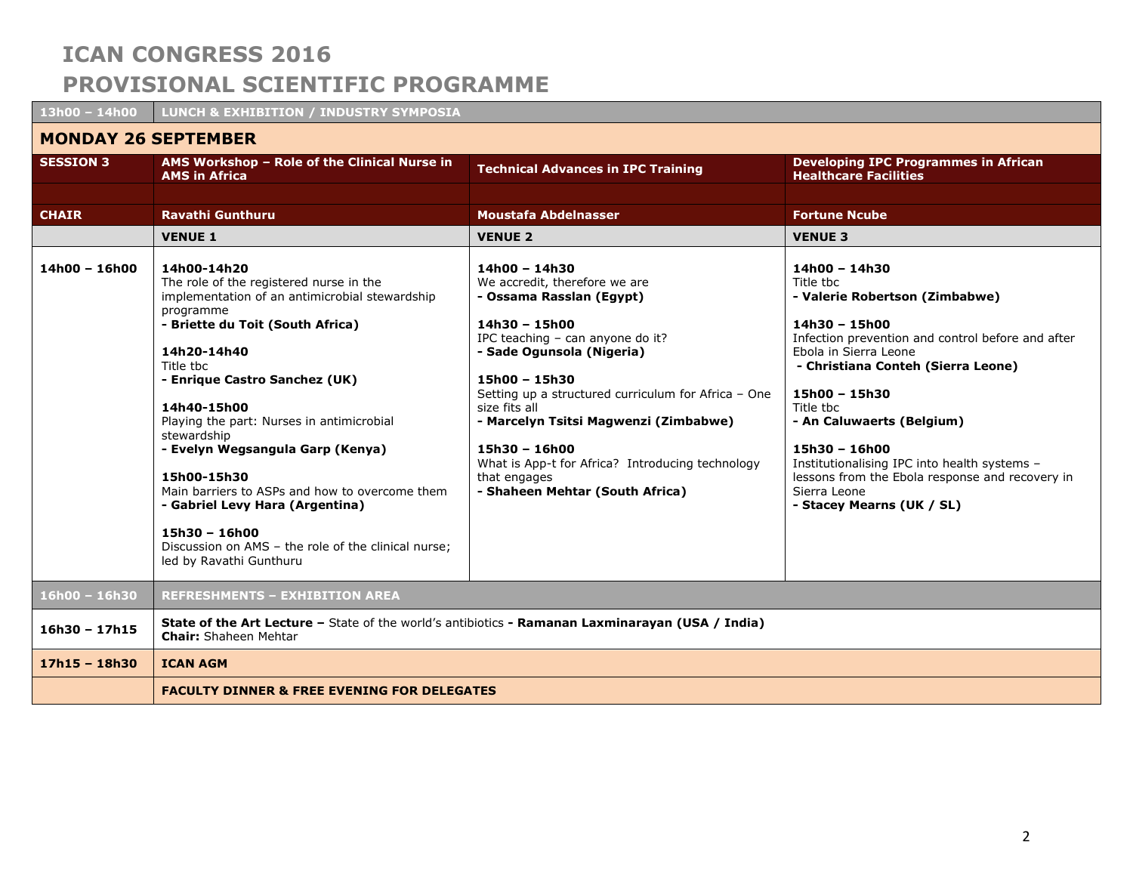| 13h00 - 14h00              | <b>LUNCH &amp; EXHIBITION / INDUSTRY SYMPOSIA</b>                                                                                                                                                                                                                                                                                                                                                                                                                                                                                              |                                                                                                                                                                                                                                                                                                                                                                                                                              |                                                                                                                                                                                                                                                                                                                                                                                                                                 |  |
|----------------------------|------------------------------------------------------------------------------------------------------------------------------------------------------------------------------------------------------------------------------------------------------------------------------------------------------------------------------------------------------------------------------------------------------------------------------------------------------------------------------------------------------------------------------------------------|------------------------------------------------------------------------------------------------------------------------------------------------------------------------------------------------------------------------------------------------------------------------------------------------------------------------------------------------------------------------------------------------------------------------------|---------------------------------------------------------------------------------------------------------------------------------------------------------------------------------------------------------------------------------------------------------------------------------------------------------------------------------------------------------------------------------------------------------------------------------|--|
| <b>MONDAY 26 SEPTEMBER</b> |                                                                                                                                                                                                                                                                                                                                                                                                                                                                                                                                                |                                                                                                                                                                                                                                                                                                                                                                                                                              |                                                                                                                                                                                                                                                                                                                                                                                                                                 |  |
| <b>SESSION 3</b>           | AMS Workshop - Role of the Clinical Nurse in<br><b>AMS in Africa</b>                                                                                                                                                                                                                                                                                                                                                                                                                                                                           | <b>Technical Advances in IPC Training</b>                                                                                                                                                                                                                                                                                                                                                                                    | <b>Developing IPC Programmes in African</b><br><b>Healthcare Facilities</b>                                                                                                                                                                                                                                                                                                                                                     |  |
| <b>CHAIR</b>               | Ravathi Gunthuru                                                                                                                                                                                                                                                                                                                                                                                                                                                                                                                               | <b>Moustafa Abdelnasser</b>                                                                                                                                                                                                                                                                                                                                                                                                  | <b>Fortune Ncube</b>                                                                                                                                                                                                                                                                                                                                                                                                            |  |
|                            | <b>VENUE 1</b>                                                                                                                                                                                                                                                                                                                                                                                                                                                                                                                                 | <b>VENUE 2</b>                                                                                                                                                                                                                                                                                                                                                                                                               | <b>VENUE 3</b>                                                                                                                                                                                                                                                                                                                                                                                                                  |  |
| $14h00 - 16h00$            | 14h00-14h20<br>The role of the registered nurse in the<br>implementation of an antimicrobial stewardship<br>programme<br>- Briette du Toit (South Africa)<br>14h20-14h40<br>Title tbc<br>- Enrique Castro Sanchez (UK)<br>14h40-15h00<br>Playing the part: Nurses in antimicrobial<br>stewardship<br>- Evelyn Wegsangula Garp (Kenya)<br>15h00-15h30<br>Main barriers to ASPs and how to overcome them<br>- Gabriel Levy Hara (Argentina)<br>$15h30 - 16h00$<br>Discussion on AMS - the role of the clinical nurse;<br>led by Ravathi Gunthuru | 14h00 - 14h30<br>We accredit, therefore we are<br>- Ossama Rasslan (Egypt)<br>$14h30 - 15h00$<br>IPC teaching - can anyone do it?<br>- Sade Ogunsola (Nigeria)<br>$15h00 - 15h30$<br>Setting up a structured curriculum for Africa - One<br>size fits all<br>- Marcelyn Tsitsi Magwenzi (Zimbabwe)<br>$15h30 - 16h00$<br>What is App-t for Africa? Introducing technology<br>that engages<br>- Shaheen Mehtar (South Africa) | 14h00 - 14h30<br>Title tbc<br>- Valerie Robertson (Zimbabwe)<br>14h30 - 15h00<br>Infection prevention and control before and after<br>Ebola in Sierra Leone<br>- Christiana Conteh (Sierra Leone)<br>15h00 - 15h30<br>Title tbc<br>- An Caluwaerts (Belgium)<br>$15h30 - 16h00$<br>Institutionalising IPC into health systems -<br>lessons from the Ebola response and recovery in<br>Sierra Leone<br>- Stacey Mearns (UK / SL) |  |
| $16h00 - 16h30$            | <b>REFRESHMENTS - EXHIBITION AREA</b>                                                                                                                                                                                                                                                                                                                                                                                                                                                                                                          |                                                                                                                                                                                                                                                                                                                                                                                                                              |                                                                                                                                                                                                                                                                                                                                                                                                                                 |  |
| $16h30 - 17h15$            | State of the Art Lecture - State of the world's antibiotics - Ramanan Laxminarayan (USA / India)<br><b>Chair:</b> Shaheen Mehtar                                                                                                                                                                                                                                                                                                                                                                                                               |                                                                                                                                                                                                                                                                                                                                                                                                                              |                                                                                                                                                                                                                                                                                                                                                                                                                                 |  |
| $17h15 - 18h30$            | <b>ICAN AGM</b>                                                                                                                                                                                                                                                                                                                                                                                                                                                                                                                                |                                                                                                                                                                                                                                                                                                                                                                                                                              |                                                                                                                                                                                                                                                                                                                                                                                                                                 |  |
|                            | <b>FACULTY DINNER &amp; FREE EVENING FOR DELEGATES</b>                                                                                                                                                                                                                                                                                                                                                                                                                                                                                         |                                                                                                                                                                                                                                                                                                                                                                                                                              |                                                                                                                                                                                                                                                                                                                                                                                                                                 |  |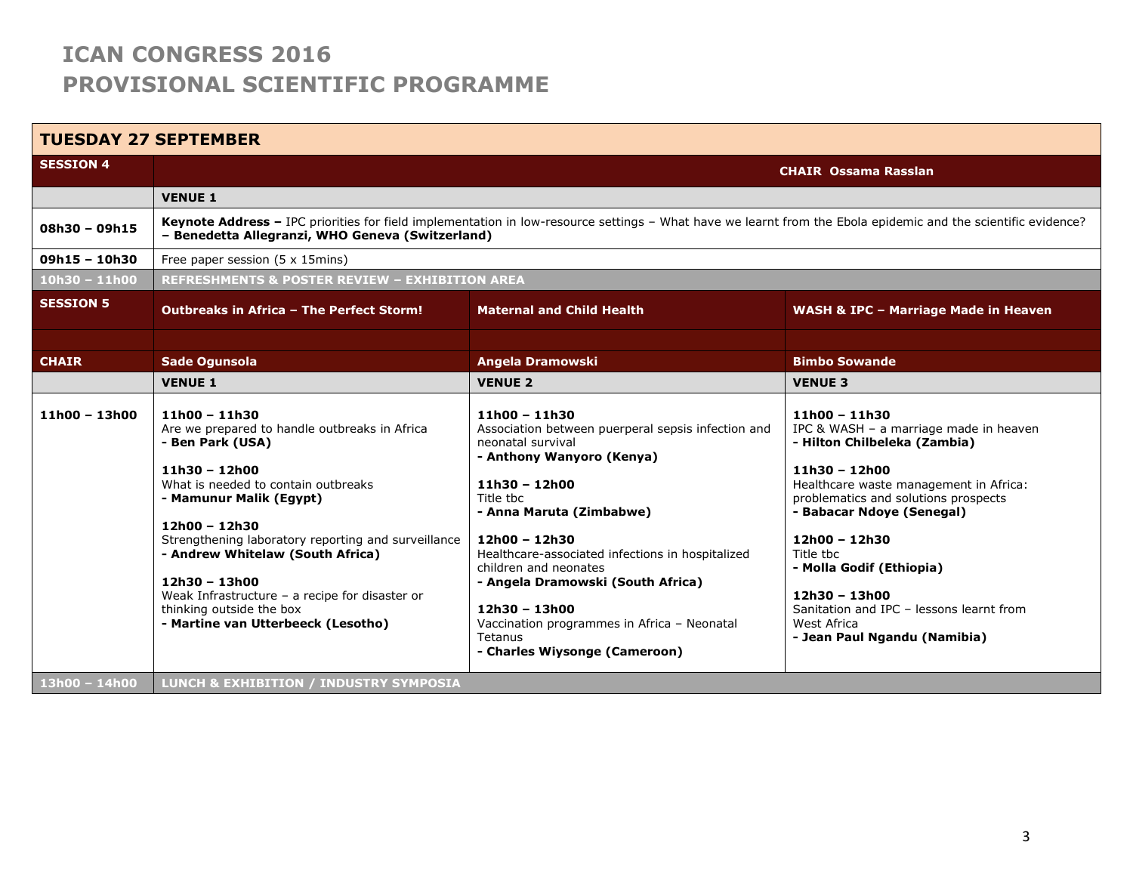| <b>TUESDAY 27 SEPTEMBER</b> |                                                                                                                                                                                                                                                                                                                                                                                                                              |                                                                                                                                                                                                                                                                                                                                                                                                                                      |                                                                                                                                                                                                                                                                                                                                                                                                     |  |
|-----------------------------|------------------------------------------------------------------------------------------------------------------------------------------------------------------------------------------------------------------------------------------------------------------------------------------------------------------------------------------------------------------------------------------------------------------------------|--------------------------------------------------------------------------------------------------------------------------------------------------------------------------------------------------------------------------------------------------------------------------------------------------------------------------------------------------------------------------------------------------------------------------------------|-----------------------------------------------------------------------------------------------------------------------------------------------------------------------------------------------------------------------------------------------------------------------------------------------------------------------------------------------------------------------------------------------------|--|
| <b>SESSION 4</b>            |                                                                                                                                                                                                                                                                                                                                                                                                                              |                                                                                                                                                                                                                                                                                                                                                                                                                                      | <b>CHAIR Ossama Rasslan</b>                                                                                                                                                                                                                                                                                                                                                                         |  |
|                             | <b>VENUE 1</b>                                                                                                                                                                                                                                                                                                                                                                                                               |                                                                                                                                                                                                                                                                                                                                                                                                                                      |                                                                                                                                                                                                                                                                                                                                                                                                     |  |
| $08h30 - 09h15$             | Keynote Address - IPC priorities for field implementation in low-resource settings - What have we learnt from the Ebola epidemic and the scientific evidence?<br>- Benedetta Allegranzi, WHO Geneva (Switzerland)                                                                                                                                                                                                            |                                                                                                                                                                                                                                                                                                                                                                                                                                      |                                                                                                                                                                                                                                                                                                                                                                                                     |  |
| $09h15 - 10h30$             | Free paper session (5 x 15mins)                                                                                                                                                                                                                                                                                                                                                                                              |                                                                                                                                                                                                                                                                                                                                                                                                                                      |                                                                                                                                                                                                                                                                                                                                                                                                     |  |
| $10h30 - 11h00$             | <b>REFRESHMENTS &amp; POSTER REVIEW - EXHIBITION AREA</b>                                                                                                                                                                                                                                                                                                                                                                    |                                                                                                                                                                                                                                                                                                                                                                                                                                      |                                                                                                                                                                                                                                                                                                                                                                                                     |  |
| <b>SESSION 5</b>            | <b>Outbreaks in Africa - The Perfect Storm!</b>                                                                                                                                                                                                                                                                                                                                                                              | <b>Maternal and Child Health</b>                                                                                                                                                                                                                                                                                                                                                                                                     | <b>WASH &amp; IPC - Marriage Made in Heaven</b>                                                                                                                                                                                                                                                                                                                                                     |  |
|                             |                                                                                                                                                                                                                                                                                                                                                                                                                              |                                                                                                                                                                                                                                                                                                                                                                                                                                      |                                                                                                                                                                                                                                                                                                                                                                                                     |  |
| <b>CHAIR</b>                | <b>Sade Ogunsola</b>                                                                                                                                                                                                                                                                                                                                                                                                         | Angela Dramowski                                                                                                                                                                                                                                                                                                                                                                                                                     | <b>Bimbo Sowande</b>                                                                                                                                                                                                                                                                                                                                                                                |  |
|                             | <b>VENUE 1</b>                                                                                                                                                                                                                                                                                                                                                                                                               | <b>VENUE 2</b>                                                                                                                                                                                                                                                                                                                                                                                                                       | <b>VENUE 3</b>                                                                                                                                                                                                                                                                                                                                                                                      |  |
| $11h00 - 13h00$             | $11h00 - 11h30$<br>Are we prepared to handle outbreaks in Africa<br>- Ben Park (USA)<br>$11h30 - 12h00$<br>What is needed to contain outbreaks<br>- Mamunur Malik (Egypt)<br>$12h00 - 12h30$<br>Strengthening laboratory reporting and surveillance<br>- Andrew Whitelaw (South Africa)<br>12h30 - 13h00<br>Weak Infrastructure - a recipe for disaster or<br>thinking outside the box<br>- Martine van Utterbeeck (Lesotho) | $11h00 - 11h30$<br>Association between puerperal sepsis infection and<br>neonatal survival<br>- Anthony Wanyoro (Kenya)<br>$11h30 - 12h00$<br>Title the<br>- Anna Maruta (Zimbabwe)<br>12h00 - 12h30<br>Healthcare-associated infections in hospitalized<br>children and neonates<br>- Angela Dramowski (South Africa)<br>$12h30 - 13h00$<br>Vaccination programmes in Africa - Neonatal<br>Tetanus<br>- Charles Wiysonge (Cameroon) | $11h00 - 11h30$<br>IPC & WASH - a marriage made in heaven<br>- Hilton Chilbeleka (Zambia)<br>$11h30 - 12h00$<br>Healthcare waste management in Africa:<br>problematics and solutions prospects<br>- Babacar Ndoye (Senegal)<br>$12h00 - 12h30$<br>Title thc<br>- Molla Godif (Ethiopia)<br>12h30 - 13h00<br>Sanitation and IPC - lessons learnt from<br>West Africa<br>- Jean Paul Ngandu (Namibia) |  |
| 13h00 - 14h00               | <b>LUNCH &amp; EXHIBITION / INDUSTRY SYMPOSIA</b>                                                                                                                                                                                                                                                                                                                                                                            |                                                                                                                                                                                                                                                                                                                                                                                                                                      |                                                                                                                                                                                                                                                                                                                                                                                                     |  |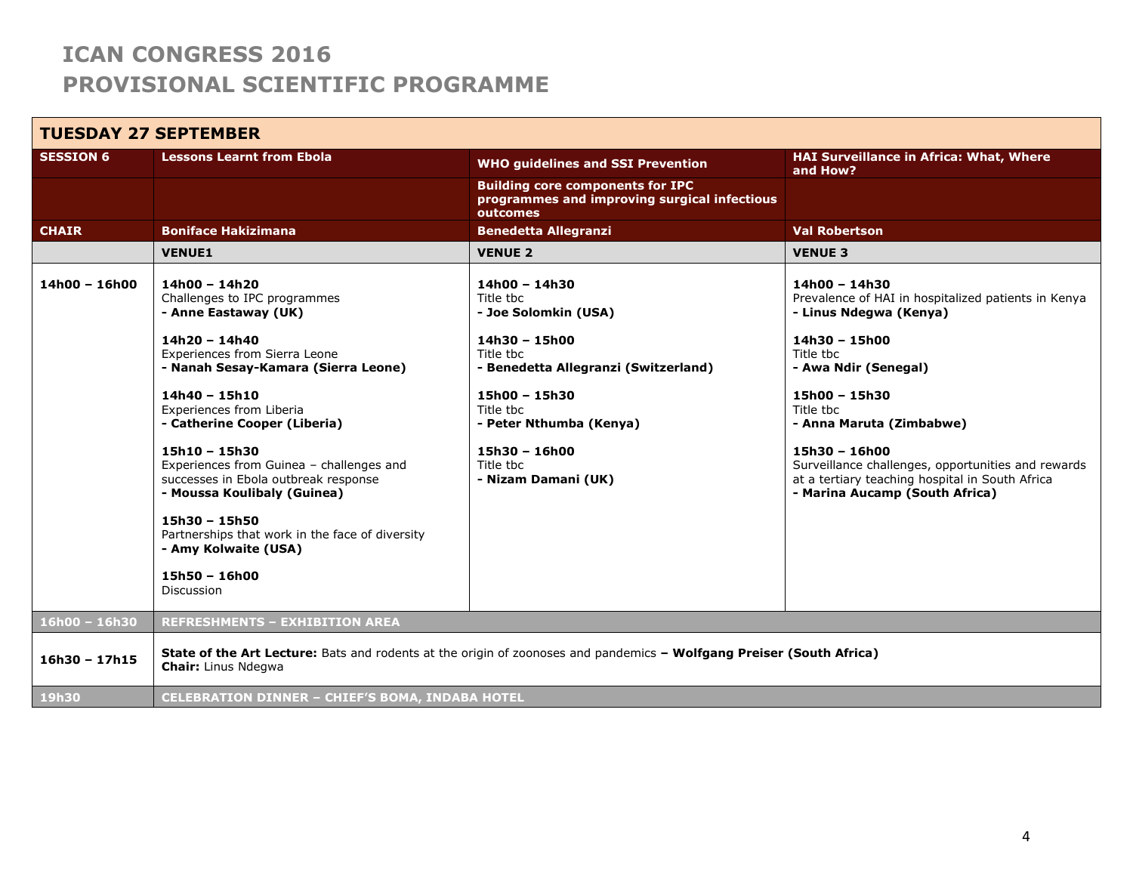#### **TUESDAY 27 SEPTEMBER SESSION 6 Lessons Learnt from Ebola WHO guidelines and SSI Prevention HAI Surveillance in Africa: What, Where and How? Building core components for IPC programmes and improving surgical infectious outcomes CHAIR Boniface Hakizimana Benedetta Allegranzi Val Robertson VENUE1 VENUE 2 VENUE 3 14h00 – 16h00 14h00 – 14h20** Challenges to IPC programmes **- Anne Eastaway (UK) 14h20 – 14h40** Experiences from Sierra Leone **- Nanah Sesay-Kamara (Sierra Leone) 14h40 – 15h10** Experiences from Liberia **- Catherine Cooper (Liberia) 15h10 – 15h30** Experiences from Guinea – challenges and successes in Ebola outbreak response **- Moussa Koulibaly (Guinea) 15h30 – 15h50** Partnerships that work in the face of diversity **- Amy Kolwaite (USA) 15h50 – 16h00** Discussion **14h00 – 14h30** Title tbc **- Joe Solomkin (USA) 14h30 – 15h00** Title tbc **- Benedetta Allegranzi (Switzerland) 15h00 – 15h30** Title tbc **- Peter Nthumba (Kenya) 15h30 – 16h00** Title tbc **- Nizam Damani (UK) 14h00 – 14h30** Prevalence of HAI in hospitalized patients in Kenya **- Linus Ndegwa (Kenya) 14h30 – 15h00** Title tbc **- Awa Ndir (Senegal) 15h00 – 15h30** Title tbc **- Anna Maruta (Zimbabwe) 15h30 – 16h00** Surveillance challenges, opportunities and rewards at a tertiary teaching hospital in South Africa **- Marina Aucamp (South Africa) 16h00 – 16h30 REFRESHMENTS – EXHIBITION AREA 16h30 – 17h15 State of the Art Lecture:** Bats and rodents at the origin of zoonoses and pandemics **– Wolfgang Preiser (South Africa) Chair:** Linus Ndegwa **19h30 CELEBRATION DINNER – CHIEF'S BOMA, INDABA HOTEL**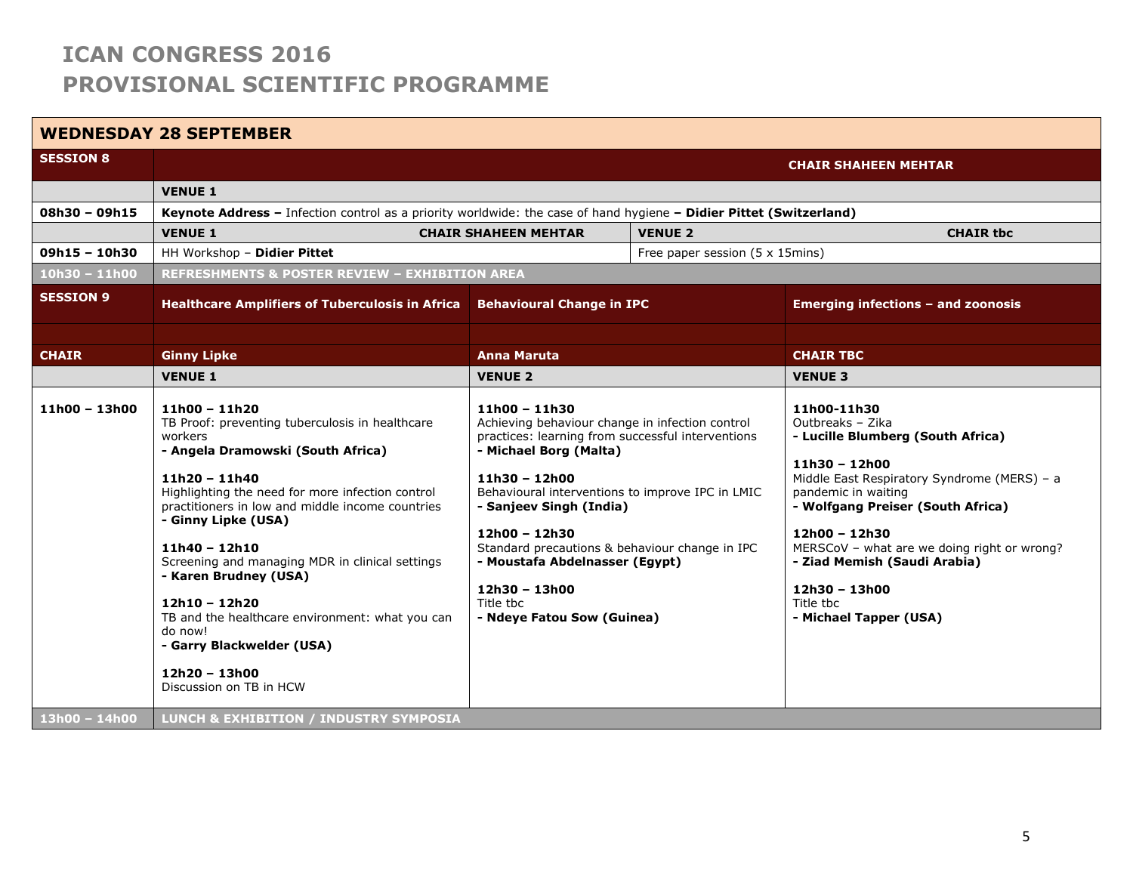### **WEDNESDAY 28 SEPTEMBER**

| <b>SESSION 8</b> |                                                                                                                                                                                                                                                                                                                                                                                                                                                                                                                               |                                                                                                                                                                                                                                                                                                                                                                                                                      |  | <b>CHAIR SHAHEEN MEHTAR</b>                                                                                                                                                                                                                                                                                                                                  |
|------------------|-------------------------------------------------------------------------------------------------------------------------------------------------------------------------------------------------------------------------------------------------------------------------------------------------------------------------------------------------------------------------------------------------------------------------------------------------------------------------------------------------------------------------------|----------------------------------------------------------------------------------------------------------------------------------------------------------------------------------------------------------------------------------------------------------------------------------------------------------------------------------------------------------------------------------------------------------------------|--|--------------------------------------------------------------------------------------------------------------------------------------------------------------------------------------------------------------------------------------------------------------------------------------------------------------------------------------------------------------|
|                  | <b>VENUE 1</b>                                                                                                                                                                                                                                                                                                                                                                                                                                                                                                                |                                                                                                                                                                                                                                                                                                                                                                                                                      |  |                                                                                                                                                                                                                                                                                                                                                              |
| 08h30 - 09h15    | Keynote Address - Infection control as a priority worldwide: the case of hand hygiene - Didier Pittet (Switzerland)                                                                                                                                                                                                                                                                                                                                                                                                           |                                                                                                                                                                                                                                                                                                                                                                                                                      |  |                                                                                                                                                                                                                                                                                                                                                              |
|                  | <b>VENUE 1</b>                                                                                                                                                                                                                                                                                                                                                                                                                                                                                                                | <b>CHAIR SHAHEEN MEHTAR</b><br><b>VENUE 2</b>                                                                                                                                                                                                                                                                                                                                                                        |  | <b>CHAIR tbc</b>                                                                                                                                                                                                                                                                                                                                             |
| $09h15 - 10h30$  | HH Workshop - Didier Pittet<br>Free paper session (5 x 15mins)                                                                                                                                                                                                                                                                                                                                                                                                                                                                |                                                                                                                                                                                                                                                                                                                                                                                                                      |  |                                                                                                                                                                                                                                                                                                                                                              |
| $10h30 - 11h00$  | <b>REFRESHMENTS &amp; POSTER REVIEW - EXHIBITION AREA</b>                                                                                                                                                                                                                                                                                                                                                                                                                                                                     |                                                                                                                                                                                                                                                                                                                                                                                                                      |  |                                                                                                                                                                                                                                                                                                                                                              |
| <b>SESSION 9</b> | <b>Healthcare Amplifiers of Tuberculosis in Africa</b>                                                                                                                                                                                                                                                                                                                                                                                                                                                                        | <b>Behavioural Change in IPC</b>                                                                                                                                                                                                                                                                                                                                                                                     |  | <b>Emerging infections - and zoonosis</b>                                                                                                                                                                                                                                                                                                                    |
|                  |                                                                                                                                                                                                                                                                                                                                                                                                                                                                                                                               |                                                                                                                                                                                                                                                                                                                                                                                                                      |  |                                                                                                                                                                                                                                                                                                                                                              |
| <b>CHAIR</b>     | <b>Ginny Lipke</b>                                                                                                                                                                                                                                                                                                                                                                                                                                                                                                            | <b>Anna Maruta</b>                                                                                                                                                                                                                                                                                                                                                                                                   |  | <b>CHAIR TBC</b>                                                                                                                                                                                                                                                                                                                                             |
|                  | <b>VENUE 1</b>                                                                                                                                                                                                                                                                                                                                                                                                                                                                                                                | <b>VENUE 2</b>                                                                                                                                                                                                                                                                                                                                                                                                       |  | <b>VENUE 3</b>                                                                                                                                                                                                                                                                                                                                               |
| $11h00 - 13h00$  | 11h00 - 11h20<br>TB Proof: preventing tuberculosis in healthcare<br>workers<br>- Angela Dramowski (South Africa)<br>$11h20 - 11h40$<br>Highlighting the need for more infection control<br>practitioners in low and middle income countries<br>- Ginny Lipke (USA)<br>$11h40 - 12h10$<br>Screening and managing MDR in clinical settings<br>- Karen Brudney (USA)<br>$12h10 - 12h20$<br>TB and the healthcare environment: what you can<br>do now!<br>- Garry Blackwelder (USA)<br>$12h20 - 13h00$<br>Discussion on TB in HCW | $11h00 - 11h30$<br>Achieving behaviour change in infection control<br>practices: learning from successful interventions<br>- Michael Borg (Malta)<br>11h30 - 12h00<br>Behavioural interventions to improve IPC in LMIC<br>- Sanjeev Singh (India)<br>12h00 - 12h30<br>Standard precautions & behaviour change in IPC<br>- Moustafa Abdelnasser (Egypt)<br>$12h30 - 13h00$<br>Title tbc<br>- Ndeye Fatou Sow (Guinea) |  | 11h00-11h30<br>Outbreaks - Zika<br>- Lucille Blumberg (South Africa)<br>$11h30 - 12h00$<br>Middle East Respiratory Syndrome (MERS) - a<br>pandemic in waiting<br>- Wolfgang Preiser (South Africa)<br>12h00 - 12h30<br>MERSCoV - what are we doing right or wrong?<br>- Ziad Memish (Saudi Arabia)<br>$12h30 - 13h00$<br>Title tbc<br>- Michael Tapper (USA) |
| 13h00 - 14h00    | <b>LUNCH &amp; EXHIBITION / INDUSTRY SYMPOSIA</b>                                                                                                                                                                                                                                                                                                                                                                                                                                                                             |                                                                                                                                                                                                                                                                                                                                                                                                                      |  |                                                                                                                                                                                                                                                                                                                                                              |